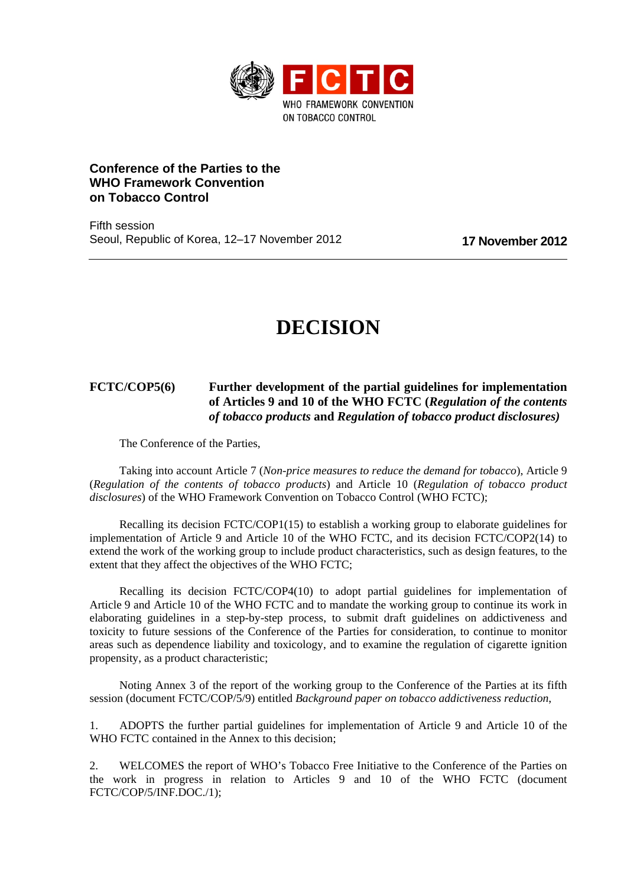

# **Conference of the Parties to the WHO Framework Convention on Tobacco Control**

Fifth session Seoul, Republic of Korea, 12–17 November 2012 **17 November 2012**

# **DECISION**

# **FCTC/COP5(6) Further development of the partial guidelines for implementation of Articles 9 and 10 of the WHO FCTC (***Regulation of the contents of tobacco products* **and** *Regulation of tobacco product disclosures)*

The Conference of the Parties,

Taking into account Article 7 (*Non-price measures to reduce the demand for tobacco*), Article 9 (*Regulation of the contents of tobacco products*) and Article 10 (*Regulation of tobacco product disclosures*) of the WHO Framework Convention on Tobacco Control (WHO FCTC);

Recalling its decision FCTC/COP1(15) to establish a working group to elaborate guidelines for implementation of Article 9 and Article 10 of the WHO FCTC, and its decision FCTC/COP2(14) to extend the work of the working group to include product characteristics, such as design features, to the extent that they affect the objectives of the WHO FCTC;

Recalling its decision FCTC/COP4(10) to adopt partial guidelines for implementation of Article 9 and Article 10 of the WHO FCTC and to mandate the working group to continue its work in elaborating guidelines in a step-by-step process, to submit draft guidelines on addictiveness and toxicity to future sessions of the Conference of the Parties for consideration, to continue to monitor areas such as dependence liability and toxicology, and to examine the regulation of cigarette ignition propensity, as a product characteristic;

Noting Annex 3 of the report of the working group to the Conference of the Parties at its fifth session (document FCTC/COP/5/9) entitled *Background paper on tobacco addictiveness reduction*,

1. ADOPTS the further partial guidelines for implementation of Article 9 and Article 10 of the WHO FCTC contained in the Annex to this decision:

2. WELCOMES the report of WHO's Tobacco Free Initiative to the Conference of the Parties on the work in progress in relation to Articles 9 and 10 of the WHO FCTC (document FCTC/COP/5/INF.DOC./1);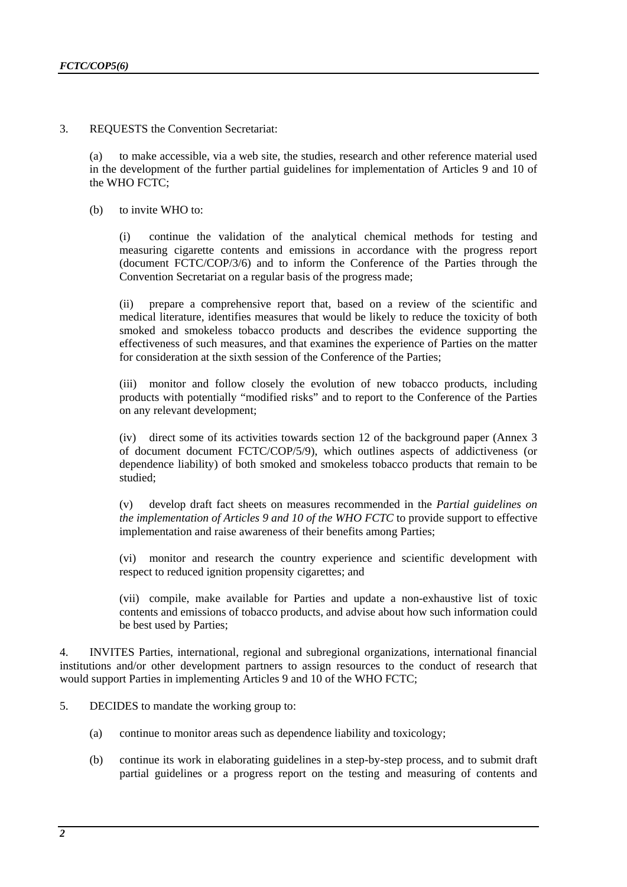3. REQUESTS the Convention Secretariat:

(a) to make accessible, via a web site, the studies, research and other reference material used in the development of the further partial guidelines for implementation of Articles 9 and 10 of the WHO  $\overline{FCTC}$ :

(b) to invite WHO to:

(i) continue the validation of the analytical chemical methods for testing and measuring cigarette contents and emissions in accordance with the progress report (document FCTC/COP/3/6) and to inform the Conference of the Parties through the Convention Secretariat on a regular basis of the progress made;

(ii) prepare a comprehensive report that, based on a review of the scientific and medical literature, identifies measures that would be likely to reduce the toxicity of both smoked and smokeless tobacco products and describes the evidence supporting the effectiveness of such measures, and that examines the experience of Parties on the matter for consideration at the sixth session of the Conference of the Parties;

(iii) monitor and follow closely the evolution of new tobacco products, including products with potentially "modified risks" and to report to the Conference of the Parties on any relevant development;

(iv) direct some of its activities towards section 12 of the background paper (Annex 3 of document document FCTC/COP/5/9), which outlines aspects of addictiveness (or dependence liability) of both smoked and smokeless tobacco products that remain to be studied;

(v) develop draft fact sheets on measures recommended in the *Partial guidelines on the implementation of Articles 9 and 10 of the WHO FCTC* to provide support to effective implementation and raise awareness of their benefits among Parties;

(vi) monitor and research the country experience and scientific development with respect to reduced ignition propensity cigarettes; and

(vii) compile, make available for Parties and update a non-exhaustive list of toxic contents and emissions of tobacco products, and advise about how such information could be best used by Parties;

4. INVITES Parties, international, regional and subregional organizations, international financial institutions and/or other development partners to assign resources to the conduct of research that would support Parties in implementing Articles 9 and 10 of the WHO FCTC;

- 5. DECIDES to mandate the working group to:
	- (a) continue to monitor areas such as dependence liability and toxicology;
	- (b) continue its work in elaborating guidelines in a step-by-step process, and to submit draft partial guidelines or a progress report on the testing and measuring of contents and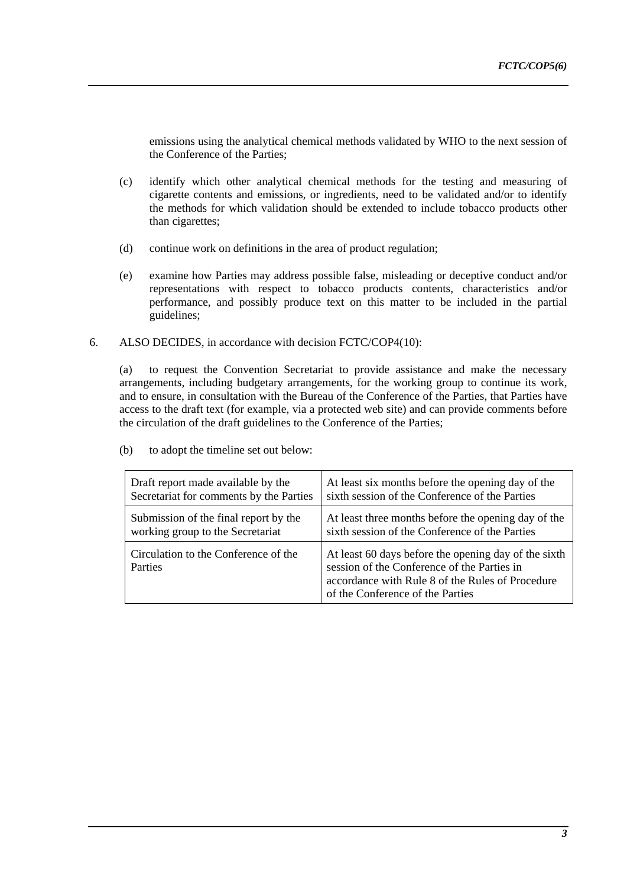emissions using the analytical chemical methods validated by WHO to the next session of the Conference of the Parties;

- (c) identify which other analytical chemical methods for the testing and measuring of cigarette contents and emissions, or ingredients, need to be validated and/or to identify the methods for which validation should be extended to include tobacco products other than cigarettes;
- (d) continue work on definitions in the area of product regulation;
- (e) examine how Parties may address possible false, misleading or deceptive conduct and/or representations with respect to tobacco products contents, characteristics and/or performance, and possibly produce text on this matter to be included in the partial guidelines;
- 6. ALSO DECIDES, in accordance with decision FCTC/COP4(10):

(a) to request the Convention Secretariat to provide assistance and make the necessary arrangements, including budgetary arrangements, for the working group to continue its work, and to ensure, in consultation with the Bureau of the Conference of the Parties, that Parties have access to the draft text (for example, via a protected web site) and can provide comments before the circulation of the draft guidelines to the Conference of the Parties;

| Draft report made available by the                     | At least six months before the opening day of the                                                                                                                                           |
|--------------------------------------------------------|---------------------------------------------------------------------------------------------------------------------------------------------------------------------------------------------|
| Secretariat for comments by the Parties                | sixth session of the Conference of the Parties                                                                                                                                              |
| Submission of the final report by the                  | At least three months before the opening day of the                                                                                                                                         |
| working group to the Secretariat                       | sixth session of the Conference of the Parties                                                                                                                                              |
| Circulation to the Conference of the<br><b>Parties</b> | At least 60 days before the opening day of the sixth<br>session of the Conference of the Parties in<br>accordance with Rule 8 of the Rules of Procedure<br>of the Conference of the Parties |

(b) to adopt the timeline set out below: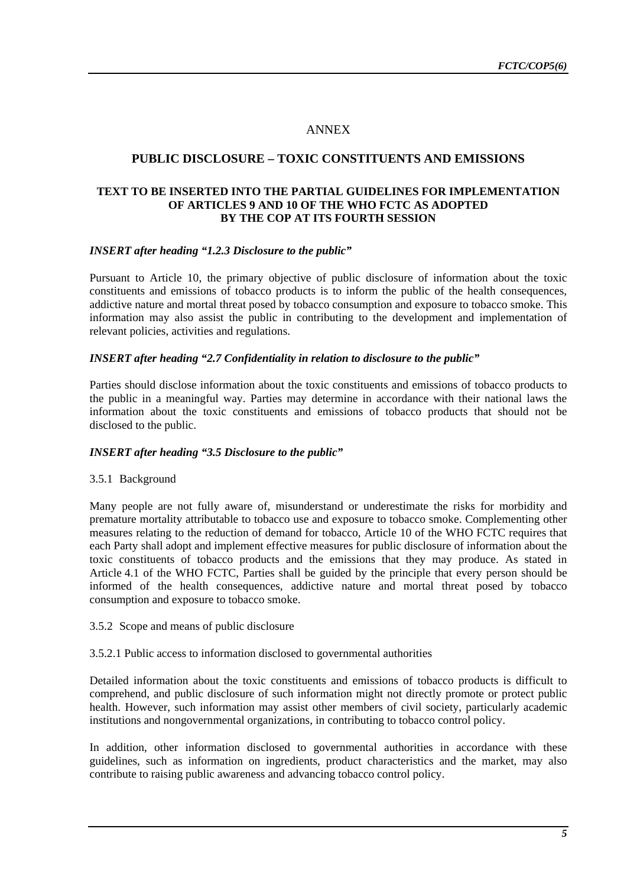# ANNEX

# **PUBLIC DISCLOSURE – TOXIC CONSTITUENTS AND EMISSIONS**

#### **TEXT TO BE INSERTED INTO THE PARTIAL GUIDELINES FOR IMPLEMENTATION OF ARTICLES 9 AND 10 OF THE WHO FCTC AS ADOPTED BY THE COP AT ITS FOURTH SESSION**

#### *INSERT after heading "1.2.3 Disclosure to the public"*

Pursuant to Article 10, the primary objective of public disclosure of information about the toxic constituents and emissions of tobacco products is to inform the public of the health consequences, addictive nature and mortal threat posed by tobacco consumption and exposure to tobacco smoke. This information may also assist the public in contributing to the development and implementation of relevant policies, activities and regulations.

#### *INSERT after heading "2.7 Confidentiality in relation to disclosure to the public"*

Parties should disclose information about the toxic constituents and emissions of tobacco products to the public in a meaningful way. Parties may determine in accordance with their national laws the information about the toxic constituents and emissions of tobacco products that should not be disclosed to the public.

#### *INSERT after heading "3.5 Disclosure to the public"*

#### 3.5.1 Background

Many people are not fully aware of, misunderstand or underestimate the risks for morbidity and premature mortality attributable to tobacco use and exposure to tobacco smoke. Complementing other measures relating to the reduction of demand for tobacco, Article 10 of the WHO FCTC requires that each Party shall adopt and implement effective measures for public disclosure of information about the toxic constituents of tobacco products and the emissions that they may produce. As stated in Article 4.1 of the WHO FCTC, Parties shall be guided by the principle that every person should be informed of the health consequences, addictive nature and mortal threat posed by tobacco consumption and exposure to tobacco smoke.

#### 3.5.2 Scope and means of public disclosure

#### 3.5.2.1 Public access to information disclosed to governmental authorities

Detailed information about the toxic constituents and emissions of tobacco products is difficult to comprehend, and public disclosure of such information might not directly promote or protect public health. However, such information may assist other members of civil society, particularly academic institutions and nongovernmental organizations, in contributing to tobacco control policy.

In addition, other information disclosed to governmental authorities in accordance with these guidelines, such as information on ingredients, product characteristics and the market, may also contribute to raising public awareness and advancing tobacco control policy.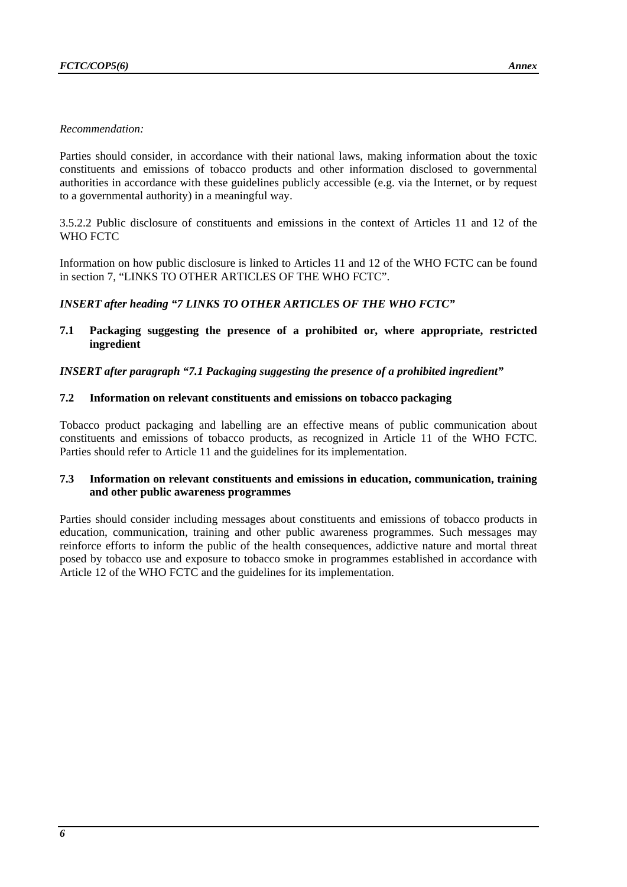#### *Recommendation:*

Parties should consider, in accordance with their national laws, making information about the toxic constituents and emissions of tobacco products and other information disclosed to governmental authorities in accordance with these guidelines publicly accessible (e.g. via the Internet, or by request to a governmental authority) in a meaningful way.

3.5.2.2 Public disclosure of constituents and emissions in the context of Articles 11 and 12 of the WHO FCTC

Information on how public disclosure is linked to Articles 11 and 12 of the WHO FCTC can be found in section 7, "LINKS TO OTHER ARTICLES OF THE WHO FCTC".

## *INSERT after heading "7 LINKS TO OTHER ARTICLES OF THE WHO FCTC"*

**7.1 Packaging suggesting the presence of a prohibited or, where appropriate, restricted ingredient** 

#### *INSERT after paragraph "7.1 Packaging suggesting the presence of a prohibited ingredient"*

#### **7.2 Information on relevant constituents and emissions on tobacco packaging**

Tobacco product packaging and labelling are an effective means of public communication about constituents and emissions of tobacco products, as recognized in Article 11 of the WHO FCTC. Parties should refer to Article 11 and the guidelines for its implementation.

#### **7.3 Information on relevant constituents and emissions in education, communication, training and other public awareness programmes**

Parties should consider including messages about constituents and emissions of tobacco products in education, communication, training and other public awareness programmes. Such messages may reinforce efforts to inform the public of the health consequences, addictive nature and mortal threat posed by tobacco use and exposure to tobacco smoke in programmes established in accordance with Article 12 of the WHO FCTC and the guidelines for its implementation.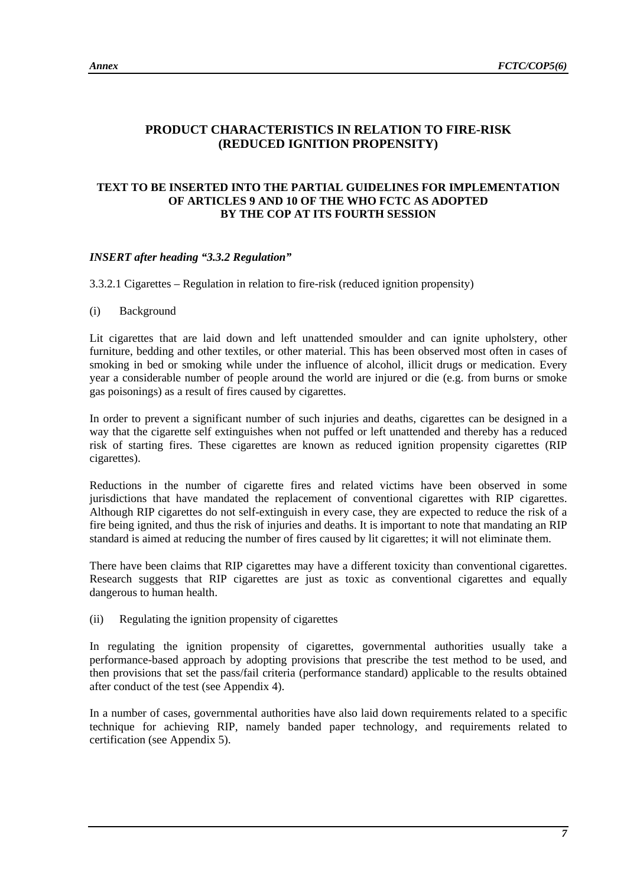# **PRODUCT CHARACTERISTICS IN RELATION TO FIRE-RISK (REDUCED IGNITION PROPENSITY)**

### **TEXT TO BE INSERTED INTO THE PARTIAL GUIDELINES FOR IMPLEMENTATION OF ARTICLES 9 AND 10 OF THE WHO FCTC AS ADOPTED BY THE COP AT ITS FOURTH SESSION**

#### *INSERT after heading "3.3.2 Regulation"*

3.3.2.1 Cigarettes – Regulation in relation to fire-risk (reduced ignition propensity)

#### (i) Background

Lit cigarettes that are laid down and left unattended smoulder and can ignite upholstery, other furniture, bedding and other textiles, or other material. This has been observed most often in cases of smoking in bed or smoking while under the influence of alcohol, illicit drugs or medication. Every year a considerable number of people around the world are injured or die (e.g. from burns or smoke gas poisonings) as a result of fires caused by cigarettes.

In order to prevent a significant number of such injuries and deaths, cigarettes can be designed in a way that the cigarette self extinguishes when not puffed or left unattended and thereby has a reduced risk of starting fires. These cigarettes are known as reduced ignition propensity cigarettes (RIP cigarettes).

Reductions in the number of cigarette fires and related victims have been observed in some jurisdictions that have mandated the replacement of conventional cigarettes with RIP cigarettes. Although RIP cigarettes do not self-extinguish in every case, they are expected to reduce the risk of a fire being ignited, and thus the risk of injuries and deaths. It is important to note that mandating an RIP standard is aimed at reducing the number of fires caused by lit cigarettes; it will not eliminate them.

There have been claims that RIP cigarettes may have a different toxicity than conventional cigarettes. Research suggests that RIP cigarettes are just as toxic as conventional cigarettes and equally dangerous to human health.

(ii) Regulating the ignition propensity of cigarettes

In regulating the ignition propensity of cigarettes, governmental authorities usually take a performance-based approach by adopting provisions that prescribe the test method to be used, and then provisions that set the pass/fail criteria (performance standard) applicable to the results obtained after conduct of the test (see Appendix 4).

In a number of cases, governmental authorities have also laid down requirements related to a specific technique for achieving RIP, namely banded paper technology, and requirements related to certification (see Appendix 5).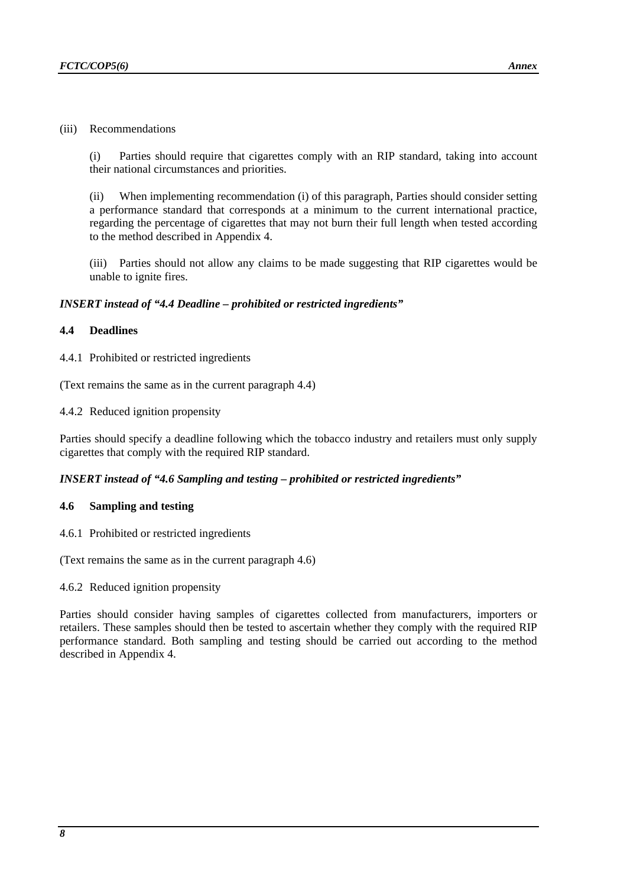#### (iii) Recommendations

(i) Parties should require that cigarettes comply with an RIP standard, taking into account their national circumstances and priorities.

(ii) When implementing recommendation (i) of this paragraph, Parties should consider setting a performance standard that corresponds at a minimum to the current international practice, regarding the percentage of cigarettes that may not burn their full length when tested according to the method described in Appendix 4.

(iii) Parties should not allow any claims to be made suggesting that RIP cigarettes would be unable to ignite fires.

#### *INSERT instead of "4.4 Deadline – prohibited or restricted ingredients"*

#### **4.4 Deadlines**

4.4.1 Prohibited or restricted ingredients

(Text remains the same as in the current paragraph 4.4)

4.4.2 Reduced ignition propensity

Parties should specify a deadline following which the tobacco industry and retailers must only supply cigarettes that comply with the required RIP standard.

#### *INSERT instead of "4.6 Sampling and testing – prohibited or restricted ingredients"*

#### **4.6 Sampling and testing**

4.6.1 Prohibited or restricted ingredients

(Text remains the same as in the current paragraph 4.6)

4.6.2 Reduced ignition propensity

Parties should consider having samples of cigarettes collected from manufacturers, importers or retailers. These samples should then be tested to ascertain whether they comply with the required RIP performance standard. Both sampling and testing should be carried out according to the method described in Appendix 4.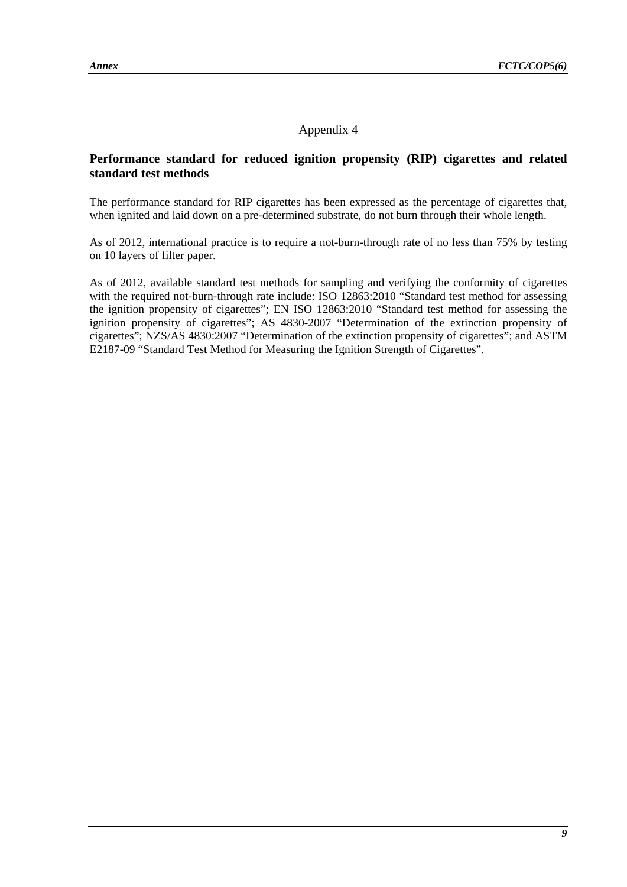# Appendix 4

## **Performance standard for reduced ignition propensity (RIP) cigarettes and related standard test methods**

The performance standard for RIP cigarettes has been expressed as the percentage of cigarettes that, when ignited and laid down on a pre-determined substrate, do not burn through their whole length.

As of 2012, international practice is to require a not-burn-through rate of no less than 75% by testing on 10 layers of filter paper.

As of 2012, available standard test methods for sampling and verifying the conformity of cigarettes with the required not-burn-through rate include: ISO 12863:2010 "Standard test method for assessing the ignition propensity of cigarettes"; EN ISO 12863:2010 "Standard test method for assessing the ignition propensity of cigarettes"; AS 4830-2007 "Determination of the extinction propensity of cigarettes"; NZS/AS 4830:2007 "Determination of the extinction propensity of cigarettes"; and ASTM E2187-09 "Standard Test Method for Measuring the Ignition Strength of Cigarettes".